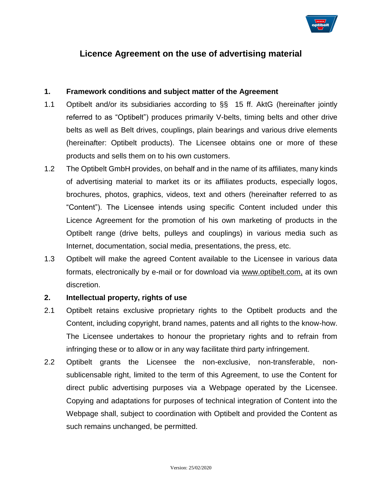

# **Licence Agreement on the use of advertising material**

#### **1. Framework conditions and subject matter of the Agreement**

- 1.1 Optibelt and/or its subsidiaries according to §§ 15 ff. AktG (hereinafter jointly referred to as "Optibelt") produces primarily V-belts, timing belts and other drive belts as well as Belt drives, couplings, plain bearings and various drive elements (hereinafter: Optibelt products). The Licensee obtains one or more of these products and sells them on to his own customers.
- 1.2 The Optibelt GmbH provides, on behalf and in the name of its affiliates, many kinds of advertising material to market its or its affiliates products, especially logos, brochures, photos, graphics, videos, text and others (hereinafter referred to as "Content"). The Licensee intends using specific Content included under this Licence Agreement for the promotion of his own marketing of products in the Optibelt range (drive belts, pulleys and couplings) in various media such as Internet, documentation, social media, presentations, the press, etc.
- 1.3 Optibelt will make the agreed Content available to the Licensee in various data formats, electronically by e-mail or for download via [www.optibelt.com,](http://www.optibelt.com/) at its own discretion.

#### **2. Intellectual property, rights of use**

- 2.1 Optibelt retains exclusive proprietary rights to the Optibelt products and the Content, including copyright, brand names, patents and all rights to the know-how. The Licensee undertakes to honour the proprietary rights and to refrain from infringing these or to allow or in any way facilitate third party infringement.
- 2.2 Optibelt grants the Licensee the non-exclusive, non-transferable, nonsublicensable right, limited to the term of this Agreement, to use the Content for direct public advertising purposes via a Webpage operated by the Licensee. Copying and adaptations for purposes of technical integration of Content into the Webpage shall, subject to coordination with Optibelt and provided the Content as such remains unchanged, be permitted.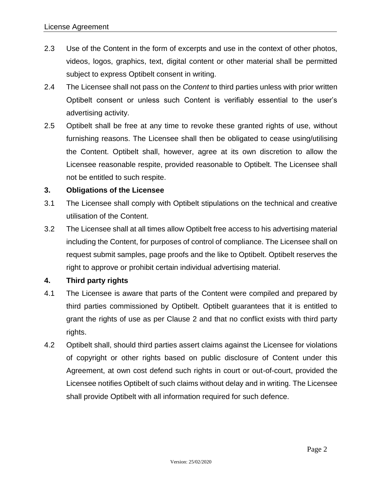- 2.3 Use of the Content in the form of excerpts and use in the context of other photos, videos, logos, graphics, text, digital content or other material shall be permitted subject to express Optibelt consent in writing.
- 2.4 The Licensee shall not pass on the *Content* to third parties unless with prior written Optibelt consent or unless such Content is verifiably essential to the user's advertising activity.
- 2.5 Optibelt shall be free at any time to revoke these granted rights of use, without furnishing reasons. The Licensee shall then be obligated to cease using/utilising the Content. Optibelt shall, however, agree at its own discretion to allow the Licensee reasonable respite, provided reasonable to Optibelt. The Licensee shall not be entitled to such respite.

## **3. Obligations of the Licensee**

- 3.1 The Licensee shall comply with Optibelt stipulations on the technical and creative utilisation of the Content.
- 3.2 The Licensee shall at all times allow Optibelt free access to his advertising material including the Content, for purposes of control of compliance. The Licensee shall on request submit samples, page proofs and the like to Optibelt. Optibelt reserves the right to approve or prohibit certain individual advertising material.

## **4. Third party rights**

- 4.1 The Licensee is aware that parts of the Content were compiled and prepared by third parties commissioned by Optibelt. Optibelt guarantees that it is entitled to grant the rights of use as per Clause 2 and that no conflict exists with third party rights.
- 4.2 Optibelt shall, should third parties assert claims against the Licensee for violations of copyright or other rights based on public disclosure of Content under this Agreement, at own cost defend such rights in court or out-of-court, provided the Licensee notifies Optibelt of such claims without delay and in writing. The Licensee shall provide Optibelt with all information required for such defence.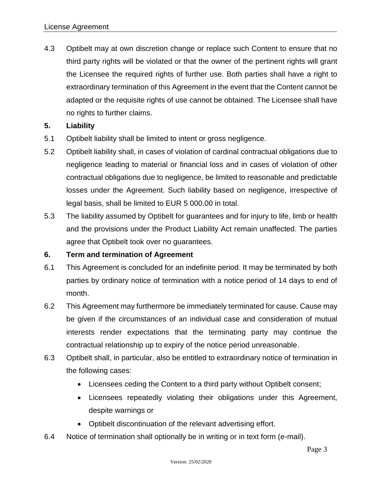4.3 Optibelt may at own discretion change or replace such Content to ensure that no third party rights will be violated or that the owner of the pertinent rights will grant the Licensee the required rights of further use. Both parties shall have a right to extraordinary termination of this Agreement in the event that the Content cannot be adapted or the requisite rights of use cannot be obtained. The Licensee shall have no rights to further claims.

## **5. Liability**

- 5.1 Optibelt liability shall be limited to intent or gross negligence.
- 5.2 Optibelt liability shall, in cases of violation of cardinal contractual obligations due to negligence leading to material or financial loss and in cases of violation of other contractual obligations due to negligence, be limited to reasonable and predictable losses under the Agreement. Such liability based on negligence, irrespective of legal basis, shall be limited to EUR 5 000.00 in total.
- 5.3 The liability assumed by Optibelt for guarantees and for injury to life, limb or health and the provisions under the Product Liability Act remain unaffected. The parties agree that Optibelt took over no guarantees.

## **6. Term and termination of Agreement**

- 6.1 This Agreement is concluded for an indefinite period. It may be terminated by both parties by ordinary notice of termination with a notice period of 14 days to end of month.
- 6.2 This Agreement may furthermore be immediately terminated for cause. Cause may be given if the circumstances of an individual case and consideration of mutual interests render expectations that the terminating party may continue the contractual relationship up to expiry of the notice period unreasonable.
- 6.3 Optibelt shall, in particular, also be entitled to extraordinary notice of termination in the following cases:
	- Licensees ceding the Content to a third party without Optibelt consent;
	- Licensees repeatedly violating their obligations under this Agreement, despite warnings or
	- Optibelt discontinuation of the relevant advertising effort.
- 6.4 Notice of termination shall optionally be in writing or in text form (e-mail).